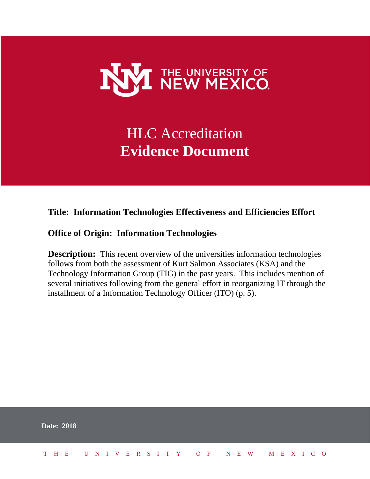

### HLC Accreditation **Evidence Document**

#### **Title: Information Technologies Effectiveness and Efficiencies Effort**

#### **Office of Origin: Information Technologies**

**Description:** This recent overview of the universities information technologies follows from both the assessment of Kurt Salmon Associates (KSA) and the Technology Information Group (TIG) in the past years. This includes mention of several initiatives following from the general effort in reorganizing IT through the installment of a Information Technology Officer (ITO) (p. 5).

| <b>Date: 2018</b>            |  |  |  |  |  |  |  |  |  |  |  |  |  |
|------------------------------|--|--|--|--|--|--|--|--|--|--|--|--|--|
| THE UNIVERSITY OF NEW MEXICO |  |  |  |  |  |  |  |  |  |  |  |  |  |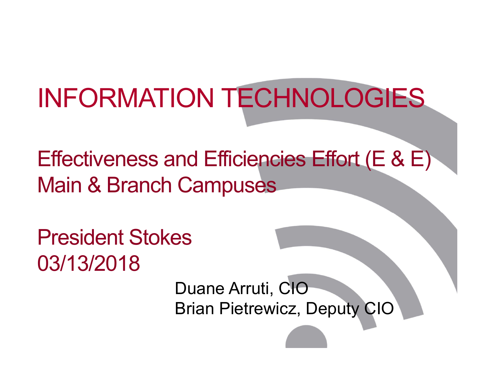# INFORMATION TECHNOLOGIES

Effectiveness and Efficiencies Effort (E & E) Main & Branch Campuses

President Stokes03/13/2018

> Duane Arruti, CIO Brian Pietrewicz, Deputy CIO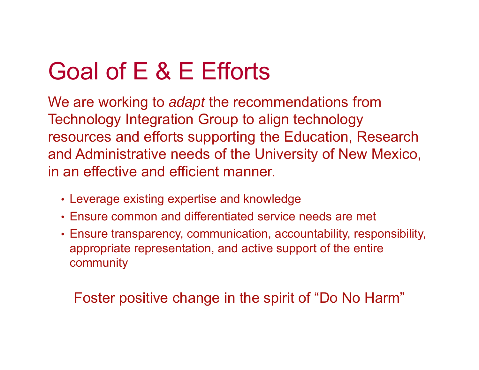# Goal of E & E Efforts

We are working to *adapt* the recommendations from Technology Integration Group to align technology resources and efforts supporting the Education, Research and Administrative needs of the University of New Mexico, in an effective and efficient manner.

- Leverage existing expertise and knowledge
- Ensure common and differentiated service needs are met
- Ensure transparency, communication, accountability, responsibility, appropriate representation, and active support of the entire community

### Foster positive change in the spirit of "Do No Harm"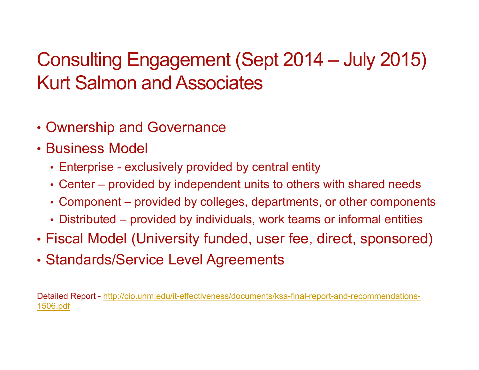### Consulting Engagement (Sept 2014 – July 2015) Kurt Salmon and Associates

- Ownership and Governance
- Business Model
	- Enterprise exclusively provided by central entity
	- Center provided by independent units to others with shared needs
	- Component provided by colleges, departments, or other components
	- Distributed provided by individuals, work teams or informal entities
- Fiscal Model (University funded, user fee, direct, sponsored)
- Standards/Service Level Agreements

Detailed Report - http://cio.unm.edu/it-effectiveness/documents/ksa-final-report-and-recommendations-1506.pdf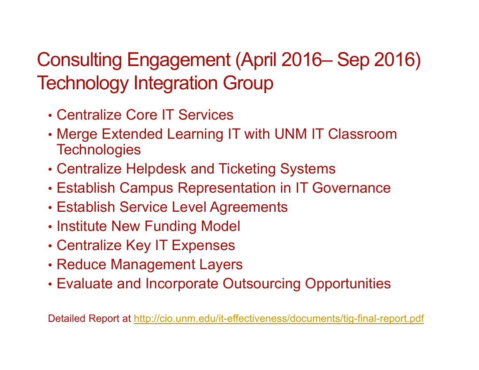### Consulting Engagement (April 2016– Sep 2016) Technology Integration Group

- Centralize Core IT Services
- Merge Extended Learning IT with UNM IT Classroom **Technologies**
- Centralize Helpdesk and Ticketing Systems
- Establish Campus Representation in IT Governance
- Establish Service Level Agreements
- Institute New Funding Model
- Centralize Key IT Expenses
- Reduce Management Layers
- Evaluate and Incorporate Outsourcing Opportunities

Detailed Report at http://cio.unm.edu/it-effectiveness/documents/tig-final-report.pdf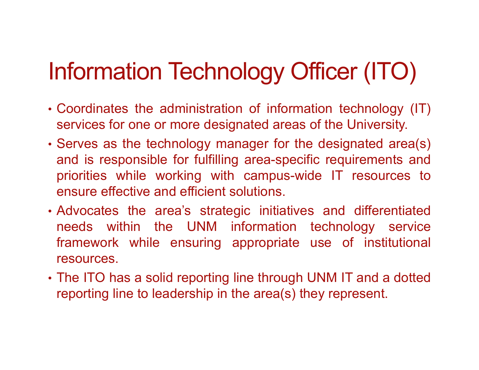# Information Technology Officer (ITO)

- Coordinates the administration of information technology (IT) services for one or more designated areas of the University.
- Serves as the technology manager for the designated area(s) and is responsible for fulfilling area-specific requirements and priorities while working with campus-wide IT resources to ensure effective and efficient solutions.
- Advocates the area's strategic initiatives and differentiated needs within the UNM information technology service framework while ensuring appropriate use of institutional resources.
- The ITO has <sup>a</sup> solid reporting line through UNM IT and <sup>a</sup> dotted reporting line to leadership in the area(s) they represent.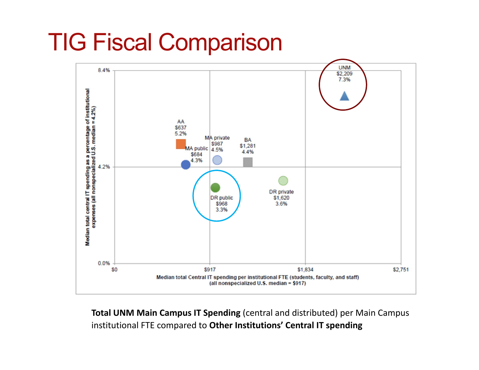# TIG Fiscal Comparison



**Total UNM Main Campus IT Spending** (central and distributed) per Main Campus institutional FTE compared to **Other Institutions' Central IT spending**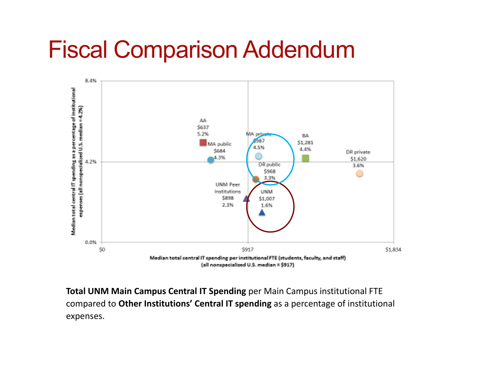## Fiscal Comparison Addendum



**Total UNM Main Campus Central IT Spending** per Main Campus institutional FTE compared to **Other Institutions' Central IT spending** as a percentage of institutional expenses.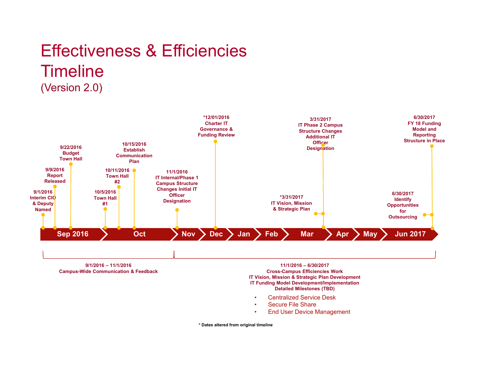### Effectiveness & Efficiencies**Timeline** (Version 2.0)



**9/1/2016 – 11/1/2016 Campus-Wide Communication & Feedback**

#### **11/1/2016 – 6/30/2017 Cross-Campus Efficiencies Work IT Vision, Mission & Strategic Plan Development IT Funding Model Development/Implementation Detailed Milestones (TBD)**

- •Centralized Service Desk
- •Secure File Share
- •End User Device Management

**\* Dates altered from original timeline**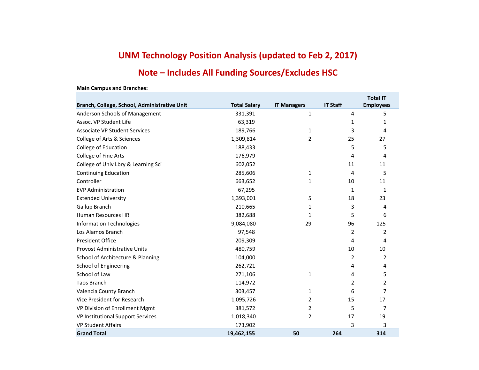### **UNM Technology Position Analysis (updated to Feb 2, 2017)**

### **Note – Includes All Funding Sources/Excludes HSC**

| Branch, College, School, Administrative Unit | <b>Total Salary</b> | <b>IT Managers</b> | <b>IT Staff</b> | Total IT<br><b>Employees</b> |
|----------------------------------------------|---------------------|--------------------|-----------------|------------------------------|
| Anderson Schools of Management               | 331,391             | 1                  | 4               | 5.                           |
| Assoc. VP Student Life                       | 63,319              |                    | 1               | 1                            |
| <b>Associate VP Student Services</b>         | 189,766             | 1                  | 3               | 4                            |
| College of Arts & Sciences                   | 1,309,814           | 2                  | 25              | 27                           |
| College of Education                         | 188,433             |                    | 5               | 5                            |
| College of Fine Arts                         | 176,979             |                    | 4               | 4                            |
| College of Univ Lbry & Learning Sci          | 602,052             |                    | 11              | 11                           |
| <b>Continuing Education</b>                  | 285,606             | 1                  | 4               | 5                            |
| Controller                                   | 663,652             | 1                  | 10              | 11                           |
| <b>EVP Administration</b>                    | 67,295              |                    | 1               | 1                            |
| <b>Extended University</b>                   | 1,393,001           | 5                  | 18              | 23                           |
| Gallup Branch                                | 210,665             | 1                  | 3               | 4                            |
| Human Resources HR                           | 382,688             | 1                  | 5               | 6                            |
| <b>Information Technologies</b>              | 9,084,080           | 29                 | 96              | 125                          |
| Los Alamos Branch                            | 97,548              |                    | 2               | 2                            |
| <b>President Office</b>                      | 209,309             |                    | 4               | 4                            |
| <b>Provost Administrative Units</b>          | 480,759             |                    | 10              | 10                           |
| School of Architecture & Planning            | 104,000             |                    | 2               | 2                            |
| School of Engineering                        | 262,721             |                    | 4               | 4                            |
| School of Law                                | 271,106             | 1                  | 4               | 5                            |
| <b>Taos Branch</b>                           | 114,972             |                    | $\overline{2}$  | 2                            |
| Valencia County Branch                       | 303,457             | 1                  | 6               | 7                            |
| Vice President for Research                  | 1,095,726           | 2                  | 15              | 17                           |
| VP Division of Enrollment Mgmt               | 381,572             | 2                  | 5               | 7                            |
| VP Institutional Support Services            | 1,018,340           | 2                  | 17              | 19                           |
| <b>VP Student Affairs</b>                    | 173,902             |                    | 3               | ર                            |
| <b>Grand Total</b>                           | 19,462,155          | 50                 | 264             | 314                          |

#### **Main Campus and Branches:**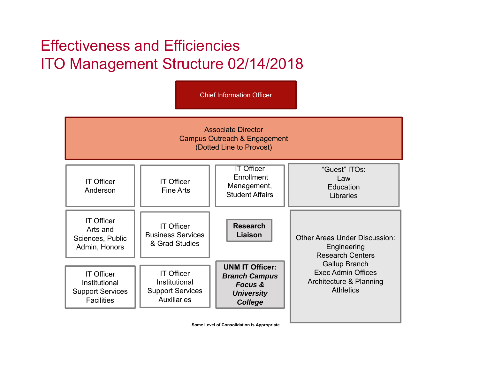### Effectiveness and EfficienciesITO Management Structure 02/14/2018

Associate DirectorCampus Outreach & Engagement (Dotted Line to Provost) Chief Information OfficerIT OfficerAndersonOther Areas Under Discussion:Engineering Research CentersGallup Branch Exec Admin OfficesArchitecture & Planning **Athletics ResearchLiaison**IT OfficerArts and Sciences, Public Admin, Honors IT OfficerInstitutional Support Services **Facilities** IT OfficerFine ArtsIT Officer Business Services & Grad StudiesIT Officer**Enrollment** Management, Student AffairsIT OfficerInstitutional Support Services Auxiliaries"Guest" ITOs:LawEducationLibraries**UNM IT Officer:** *Branch Campus Focus & University College*

**Some Level of Consolidation is Appropriate**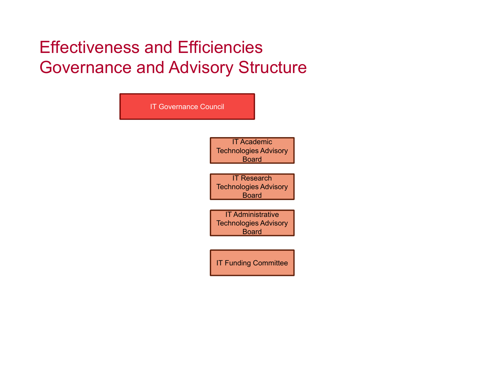### Effectiveness and Efficiencies Governance and Advisory Structure

| <b>IT Governance Council</b> |                                                                          |
|------------------------------|--------------------------------------------------------------------------|
|                              | <b>IT Academic</b><br><b>Technologies Advisory</b><br><b>Board</b>       |
|                              | <b>IT Research</b><br><b>Technologies Advisory</b><br><b>Board</b>       |
|                              | <b>IT Administrative</b><br><b>Technologies Advisory</b><br><b>Board</b> |
|                              | <b>IT Funding Committee</b>                                              |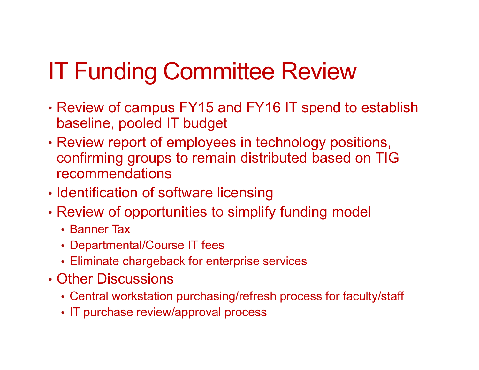# IT Funding Committee Review

- Review of campus FY15 and FY16 IT spend to establish baseline, pooled IT budget
- Review report of employees in technology positions, confirming groups to remain distributed based on TIG recommendations
- Identification of software licensing
- Review of opportunities to simplify funding model
	- Banner Tax
	- Departmental/Course IT fees
	- Eliminate chargeback for enterprise services
- Other Discussions
	- Central workstation purchasing/refresh process for faculty/staff
	- IT purchase review/approval process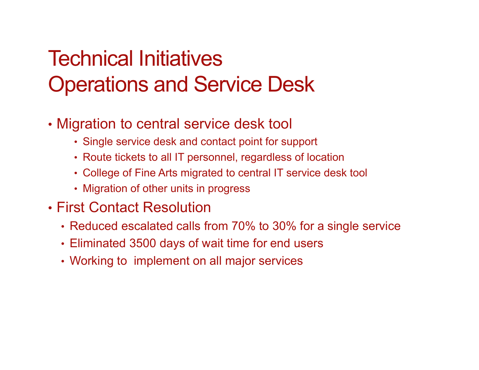### Technical Initiatives Operations and Service Desk

- Migration to central service desk tool
	- Single service desk and contact point for support
	- Route tickets to all IT personnel, regardless of location
	- College of Fine Arts migrated to central IT service desk tool
	- Migration of other units in progress
- First Contact Resolution
	- Reduced escalated calls from 70% to 30% for a single service
	- Eliminated 3500 days of wait time for end users
	- Working to implement on all major services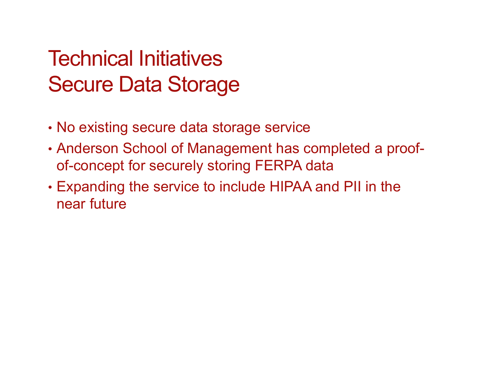### Technical Initiatives Secure Data Storage

- No existing secure data storage service
- Anderson School of Management has completed a proofof-concept for securely storing FERPA data
- Expanding the service to include HIPAA and PII in the near future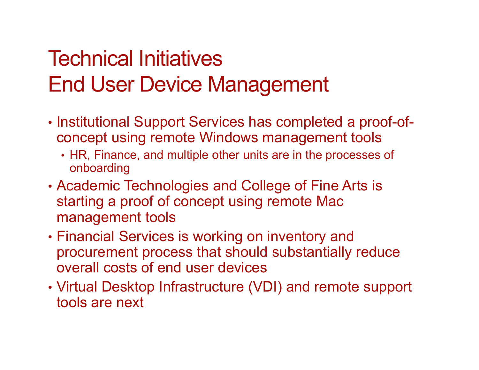## Technical InitiativesEnd User Device Management

- Institutional Support Services has completed a proof-ofconcept using remote Windows management tools
	- HR, Finance, and multiple other units are in the processes of onboarding
- Academic Technologies and College of Fine Arts is starting a proof of concept using remote Mac management tools
- Financial Services is working on inventory and procurement process that should substantially reduce overall costs of end user devices
- Virtual Desktop Infrastructure (VDI) and remote support tools are next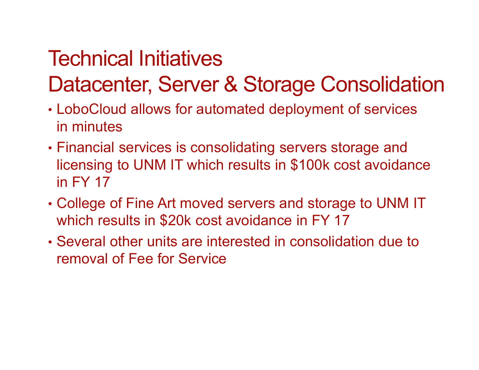# Technical Initiatives

### Datacenter, Server & Storage Consolidation

- LoboCloud allows for automated deployment of services in minutes
- Financial services is consolidating servers storage and licensing to UNM IT which results in \$100k cost avoidance in FY 17
- College of Fine Art moved servers and storage to UNM IT which results in \$20k cost avoidance in FY 17
- Several other units are interested in consolidation due to removal of Fee for Service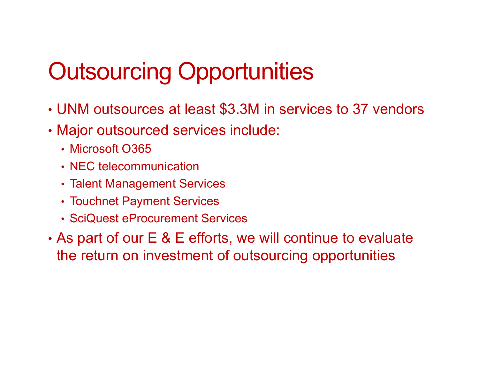# Outsourcing Opportunities

- UNM outsources at least \$3.3M in services to 37 vendors
- Major outsourced services include:
	- Microsoft O365
	- NEC telecommunication
	- Talent Management Services
	- Touchnet Payment Services
	- SciQuest eProcurement Services
- As part of our E & E efforts, we will continue to evaluate the return on investment of outsourcing opportunities